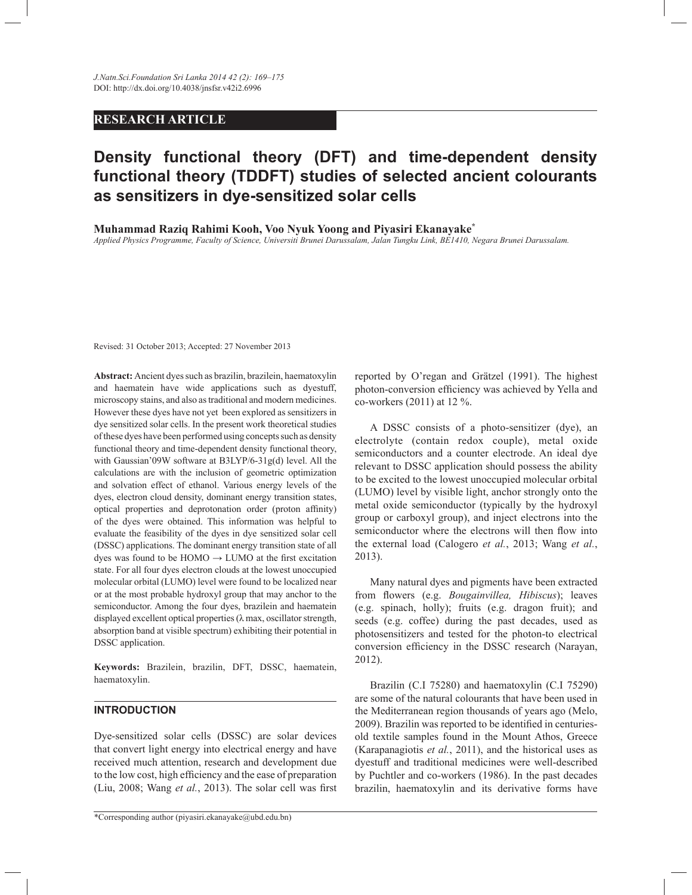# **RESEARCH ARTICLE**

# **Density functional theory (DFT) and time-dependent density functional theory (TDDFT) studies of selected ancient colourants as sensitizers in dye-sensitized solar cells**

**Muhammad Raziq Rahimi Kooh, Voo Nyuk Yoong and Piyasiri Ekanayake\***

*Applied Physics Programme, Faculty of Science, Universiti Brunei Darussalam, Jalan Tungku Link, BE1410, Negara Brunei Darussalam.*

Revised: 31 October 2013; Accepted: 27 November 2013

**Abstract:** Ancient dyes such as brazilin, brazilein, haematoxylin and haematein have wide applications such as dyestuff, microscopy stains, and also as traditional and modern medicines. However these dyes have not yet been explored as sensitizers in dye sensitized solar cells. In the present work theoretical studies of these dyes have been performed using concepts such as density functional theory and time-dependent density functional theory, with Gaussian'09W software at B3LYP/6-31g(d) level. All the calculations are with the inclusion of geometric optimization and solvation effect of ethanol. Various energy levels of the dyes, electron cloud density, dominant energy transition states, optical properties and deprotonation order (proton affinity) of the dyes were obtained. This information was helpful to evaluate the feasibility of the dyes in dye sensitized solar cell (DSSC) applications. The dominant energy transition state of all dyes was found to be  $HOMO \rightarrow LUMO$  at the first excitation state. For all four dyes electron clouds at the lowest unoccupied molecular orbital (LUMO) level were found to be localized near or at the most probable hydroxyl group that may anchor to the semiconductor. Among the four dyes, brazilein and haematein displayed excellent optical properties (λ max, oscillator strength, absorption band at visible spectrum) exhibiting their potential in DSSC application.

**Keywords:** Brazilein, brazilin, DFT, DSSC, haematein, haematoxylin.

## **INTRODUCTION**

Dye-sensitized solar cells (DSSC) are solar devices that convert light energy into electrical energy and have received much attention, research and development due to the low cost, high efficiency and the ease of preparation (Liu, 2008; Wang *et al.*, 2013). The solar cell was first

reported by O'regan and Grätzel (1991). The highest photon-conversion efficiency was achieved by Yella and co-workers (2011) at 12 %.

 A DSSC consists of a photo-sensitizer (dye), an electrolyte (contain redox couple), metal oxide semiconductors and a counter electrode. An ideal dye relevant to DSSC application should possess the ability to be excited to the lowest unoccupied molecular orbital (LUMO) level by visible light, anchor strongly onto the metal oxide semiconductor (typically by the hydroxyl group or carboxyl group), and inject electrons into the semiconductor where the electrons will then flow into the external load (Calogero *et al.*, 2013; Wang *et al.*, 2013).

 Many natural dyes and pigments have been extracted from flowers (e.g. *Bougainvillea, Hibiscus*); leaves (e.g. spinach, holly); fruits (e.g. dragon fruit); and seeds (e.g. coffee) during the past decades, used as photosensitizers and tested for the photon-to electrical conversion efficiency in the DSSC research (Narayan, 2012).

 Brazilin (C.I 75280) and haematoxylin (C.I 75290) are some of the natural colourants that have been used in the Mediterranean region thousands of years ago (Melo, 2009). Brazilin was reported to be identified in centuriesold textile samples found in the Mount Athos, Greece (Karapanagiotis *et al.*, 2011), and the historical uses as dyestuff and traditional medicines were well-described by Puchtler and co-workers (1986). In the past decades brazilin, haematoxylin and its derivative forms have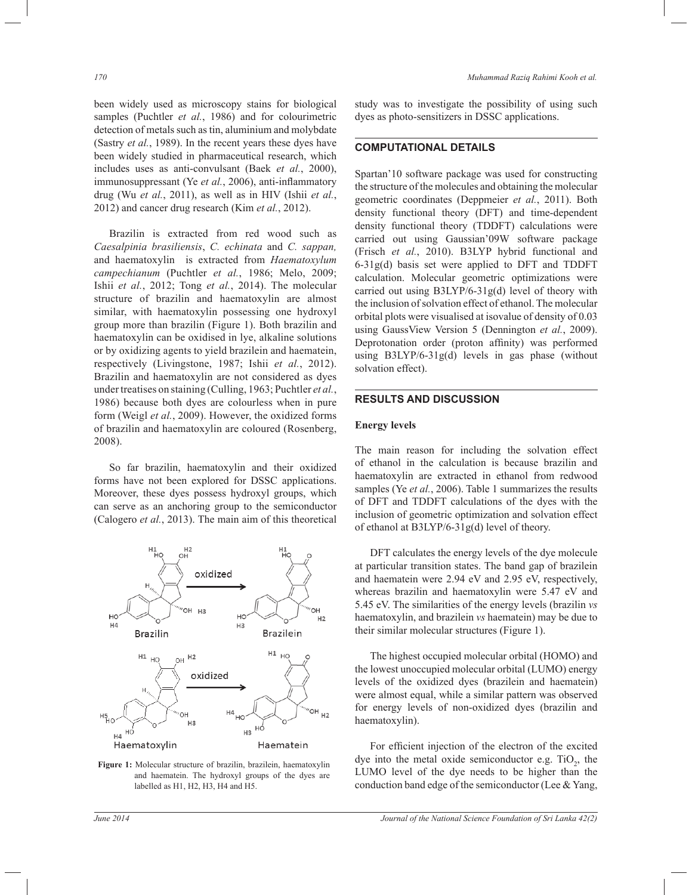been widely used as microscopy stains for biological samples (Puchtler et al., 1986) and for colourimetric detection of metals such as tin, aluminium and molybdate (Sastry *et al.*, 1989). In the recent years these dyes have been widely studied in pharmaceutical research, which includes uses as anti-convulsant (Baek *et al.*, 2000), immunosuppressant (Ye *et al.*, 2006), anti-inflammatory drug (Wu *et al.*, 2011), as well as in HIV (Ishii *et al.*, 2012) and cancer drug research (Kim *et al.*, 2012).

 Brazilin is extracted from red wood such as *Caesalpinia brasiliensis*, *C. echinata* and *C. sappan,* and haematoxylin is extracted from *Haematoxylum campechianum* (Puchtler *et al.*, 1986; Melo, 2009; Ishii *et al.*, 2012; Tong *et al.*, 2014). The molecular structure of brazilin and haematoxylin are almost similar, with haematoxylin possessing one hydroxyl group more than brazilin (Figure 1). Both brazilin and haematoxylin can be oxidised in lye, alkaline solutions or by oxidizing agents to yield brazilein and haematein, respectively (Livingstone, 1987; Ishii *et al.*, 2012). Brazilin and haematoxylin are not considered as dyes under treatises on staining (Culling, 1963; Puchtler *et al.*, 1986) because both dyes are colourless when in pure form (Weigl *et al.*, 2009). However, the oxidized forms of brazilin and haematoxylin are coloured (Rosenberg, 2008).

 So far brazilin, haematoxylin and their oxidized forms have not been explored for DSSC applications. Moreover, these dyes possess hydroxyl groups, which can serve as an anchoring group to the semiconductor (Calogero *et al.*, 2013). The main aim of this theoretical



**Figure 1:** Molecular structure of brazilin, brazilein, haematoxylin and haematein. The hydroxyl groups of the dyes are labelled as H1, H2, H3, H4 and H5.

study was to investigate the possibility of using such dyes as photo-sensitizers in DSSC applications.

## **COMPUTATIONAL DETAILS**

Spartan'10 software package was used for constructing the structure of the molecules and obtaining the molecular geometric coordinates (Deppmeier *et al.*, 2011). Both density functional theory (DFT) and time-dependent density functional theory (TDDFT) calculations were carried out using Gaussian'09W software package (Frisch *et al.*, 2010). B3LYP hybrid functional and  $6-31g(d)$  basis set were applied to DFT and TDDFT calculation. Molecular geometric optimizations were carried out using B3LYP/6-31g(d) level of theory with the inclusion of solvation effect of ethanol. The molecular orbital plots were visualised at isovalue of density of 0.03 using GaussView Version 5 (Dennington *et al.*, 2009). Deprotonation order (proton affinity) was performed using B3LYP/6-31g(d) levels in gas phase (without solvation effect).

## **RESULTS AND DISCUSSION**

#### **Energy levels**

The main reason for including the solvation effect of ethanol in the calculation is because brazilin and haematoxylin are extracted in ethanol from redwood samples (Ye *et al.*, 2006). Table 1 summarizes the results of DFT and TDDFT calculations of the dyes with the inclusion of geometric optimization and solvation effect of ethanol at B3LYP/6-31g(d) level of theory.

 DFT calculates the energy levels of the dye molecule at particular transition states. The band gap of brazilein and haematein were 2.94 eV and 2.95 eV, respectively, whereas brazilin and haematoxylin were 5.47 eV and 5.45 eV. The similarities of the energy levels (brazilin *vs*  haematoxylin, and brazilein *vs* haematein) may be due to their similar molecular structures (Figure 1).

 The highest occupied molecular orbital (HOMO) and the lowest unoccupied molecular orbital (LUMO) energy levels of the oxidized dyes (brazilein and haematein) were almost equal, while a similar pattern was observed for energy levels of non-oxidized dyes (brazilin and haematoxylin).

 For efficient injection of the electron of the excited dye into the metal oxide semiconductor e.g.  $TiO<sub>2</sub>$ , the LUMO level of the dye needs to be higher than the conduction band edge of the semiconductor (Lee & Yang,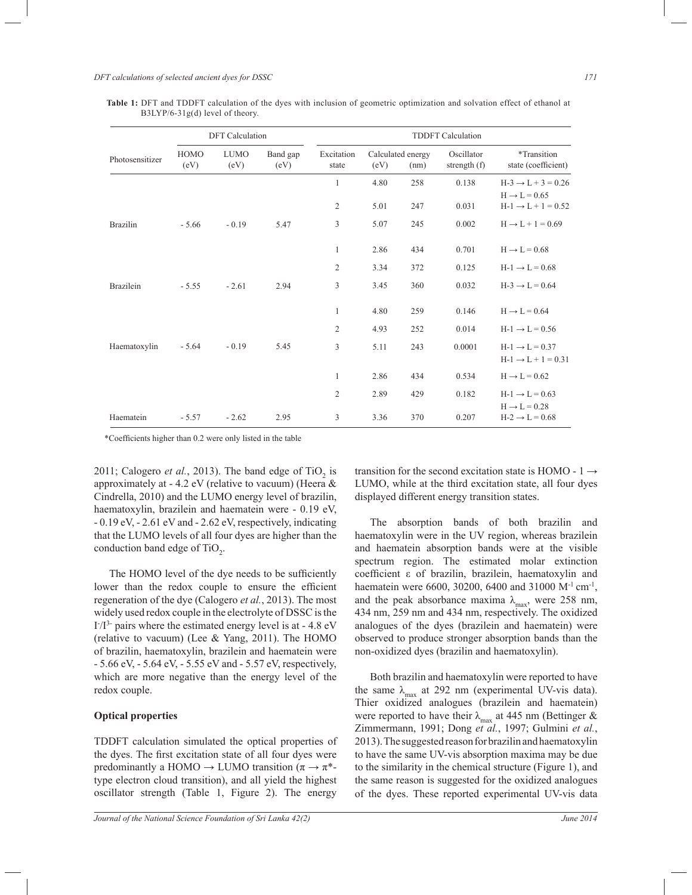|                  | <b>DFT</b> Calculation |                     |                  | <b>TDDFT</b> Calculation |      |                           |                              |                                                              |  |
|------------------|------------------------|---------------------|------------------|--------------------------|------|---------------------------|------------------------------|--------------------------------------------------------------|--|
| Photosensitizer  | HOMO<br>(eV)           | <b>LUMO</b><br>(eV) | Band gap<br>(eV) | Excitation<br>state      | (eV) | Calculated energy<br>(nm) | Oscillator<br>strength $(f)$ | *Transition<br>state (coefficient)                           |  |
|                  |                        |                     |                  | 1                        | 4.80 | 258                       | 0.138                        | $H-3 \rightarrow L + 3 = 0.26$<br>$H \rightarrow L = 0.65$   |  |
|                  |                        |                     |                  | $\overline{2}$           | 5.01 | 247                       | 0.031                        | $H-1 \rightarrow L+1 = 0.52$                                 |  |
| <b>Brazilin</b>  | $-5.66$                | $-0.19$             | 5.47             | 3                        | 5.07 | 245                       | 0.002                        | $H \rightarrow L + 1 = 0.69$                                 |  |
|                  |                        |                     |                  | $\mathbf{1}$             | 2.86 | 434                       | 0.701                        | $H \rightarrow L = 0.68$                                     |  |
|                  |                        |                     |                  | 2                        | 3.34 | 372                       | 0.125                        | $H-1 \rightarrow L = 0.68$                                   |  |
| <b>Brazilein</b> | $-5.55$                | $-2.61$             | 2.94             | 3                        | 3.45 | 360                       | 0.032                        | $H-3 \rightarrow L = 0.64$                                   |  |
|                  |                        |                     |                  | $\mathbf{1}$             | 4.80 | 259                       | 0.146                        | $H \rightarrow L = 0.64$                                     |  |
|                  |                        |                     |                  | 2                        | 4.93 | 252                       | 0.014                        | $H-1 \rightarrow L = 0.56$                                   |  |
| Haematoxylin     | $-5.64$                | $-0.19$             | 5.45             | 3                        | 5.11 | 243                       | 0.0001                       | $H-1 \rightarrow L = 0.37$<br>$H-1 \rightarrow L + 1 = 0.31$ |  |
|                  |                        |                     |                  | $\mathbf{1}$             | 2.86 | 434                       | 0.534                        | $H \rightarrow L = 0.62$                                     |  |
|                  |                        |                     |                  | $\overline{2}$           | 2.89 | 429                       | 0.182                        | $H-1 \rightarrow L = 0.63$<br>$H \rightarrow L = 0.28$       |  |
| Haematein        | $-5.57$                | $-2.62$             | 2.95             | 3                        | 3.36 | 370                       | 0.207                        | $H-2 \rightarrow L = 0.68$                                   |  |

**Table 1:** DFT and TDDFT calculation of the dyes with inclusion of geometric optimization and solvation effect of ethanol at B3LYP/6-31g(d) level of theory.

\*Coefficients higher than 0.2 were only listed in the table

2011; Calogero *et al.*, 2013). The band edge of  $TiO<sub>2</sub>$  is approximately at - 4.2 eV (relative to vacuum) (Heera & Cindrella, 2010) and the LUMO energy level of brazilin, haematoxylin, brazilein and haematein were - 0.19 eV, - 0.19 eV, - 2.61 eV and - 2.62 eV, respectively, indicating that the LUMO levels of all four dyes are higher than the conduction band edge of  $TiO<sub>2</sub>$ .

 The HOMO level of the dye needs to be sufficiently lower than the redox couple to ensure the efficient regeneration of the dye (Calogero *et al.*, 2013). The most widely used redox couple in the electrolyte of DSSC is the  $I^2/I^3$ - pairs where the estimated energy level is at - 4.8 eV (relative to vacuum) (Lee  $& Yang, 2011$ ). The HOMO of brazilin, haematoxylin, brazilein and haematein were - 5.66 eV, - 5.64 eV, - 5.55 eV and - 5.57 eV, respectively, which are more negative than the energy level of the redox couple.

## **Optical properties**

TDDFT calculation simulated the optical properties of the dyes. The first excitation state of all four dyes were predominantly a HOMO  $\rightarrow$  LUMO transition ( $\pi \rightarrow \pi^*$ type electron cloud transition), and all yield the highest oscillator strength (Table 1, Figure 2). The energy

transition for the second excitation state is HOMO -  $1 \rightarrow$ LUMO, while at the third excitation state, all four dyes displayed different energy transition states.

 The absorption bands of both brazilin and haematoxylin were in the UV region, whereas brazilein and haematein absorption bands were at the visible spectrum region. The estimated molar extinction coefficient ε of brazilin, brazilein, haematoxylin and haematein were 6600, 30200, 6400 and 31000 M<sup>-1</sup> cm<sup>-1</sup>, and the peak absorbance maxima  $\lambda_{\text{max}}$ , were 258 nm, 434 nm, 259 nm and 434 nm, respectively. The oxidized analogues of the dyes (brazilein and haematein) were observed to produce stronger absorption bands than the non-oxidized dyes (brazilin and haematoxylin).

 Both brazilin and haematoxylin were reported to have the same  $\lambda_{\text{max}}$  at 292 nm (experimental UV-vis data). Thier oxidized analogues (brazilein and haematein) were reported to have their  $\lambda_{\text{max}}$  at 445 nm (Bettinger & Zimmermann, 1991; Dong *et al.*, 1997; Gulmini *et al.*, 2013). The suggested reason for brazilin and haematoxylin to have the same UV-vis absorption maxima may be due to the similarity in the chemical structure (Figure 1), and the same reason is suggested for the oxidized analogues of the dyes. These reported experimental UV-vis data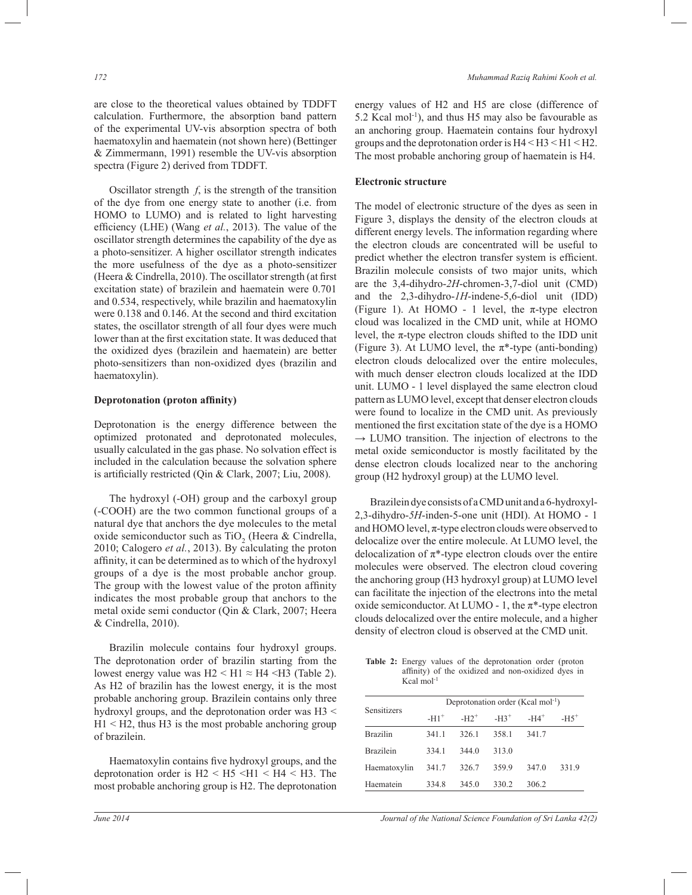are close to the theoretical values obtained by TDDFT calculation. Furthermore, the absorption band pattern of the experimental UV-vis absorption spectra of both haematoxylin and haematein (not shown here) (Bettinger & Zimmermann, 1991) resemble the UV-vis absorption spectra (Figure 2) derived from TDDFT.

 Oscillator strength *f*, is the strength of the transition of the dye from one energy state to another (i.e. from HOMO to LUMO) and is related to light harvesting efficiency (LHE) (Wang *et al.*, 2013). The value of the oscillator strength determines the capability of the dye as a photo-sensitizer. A higher oscillator strength indicates the more usefulness of the dye as a photo-sensitizer (Heera & Cindrella, 2010). The oscillator strength (at first excitation state) of brazilein and haematein were 0.701 and 0.534, respectively, while brazilin and haematoxylin were 0.138 and 0.146. At the second and third excitation states, the oscillator strength of all four dyes were much lower than at the first excitation state. It was deduced that the oxidized dyes (brazilein and haematein) are better photo-sensitizers than non-oxidized dyes (brazilin and haematoxylin).

#### **Deprotonation (proton affinity)**

Deprotonation is the energy difference between the optimized protonated and deprotonated molecules, usually calculated in the gas phase. No solvation effect is included in the calculation because the solvation sphere is artificially restricted (Qin & Clark, 2007; Liu, 2008).

 The hydroxyl (-OH) group and the carboxyl group (-COOH) are the two common functional groups of a natural dye that anchors the dye molecules to the metal oxide semiconductor such as  $TiO<sub>2</sub>$  (Heera & Cindrella, 2010; Calogero *et al.*, 2013). By calculating the proton affinity, it can be determined as to which of the hydroxyl groups of a dye is the most probable anchor group. The group with the lowest value of the proton affinity indicates the most probable group that anchors to the metal oxide semi conductor (Qin & Clark, 2007; Heera & Cindrella, 2010).

 Brazilin molecule contains four hydroxyl groups. The deprotonation order of brazilin starting from the lowest energy value was  $H2 < H1 \approx H4 < H3$  (Table 2). As H2 of brazilin has the lowest energy, it is the most probable anchoring group. Brazilein contains only three hydroxyl groups, and the deprotonation order was H3 <  $H1 < H2$ , thus H3 is the most probable anchoring group of brazilein.

Haematoxylin contains five hydroxyl groups, and the deprotonation order is  $H2 < H5 < H1 < H4 < H3$ . The most probable anchoring group is H2. The deprotonation

energy values of H2 and H5 are close (difference of 5.2 Kcal mol-1), and thus H5 may also be favourable as an anchoring group. Haematein contains four hydroxyl groups and the deprotonation order is H4 < H3 < H1 < H2. The most probable anchoring group of haematein is H4.

#### **Electronic structure**

The model of electronic structure of the dyes as seen in Figure 3, displays the density of the electron clouds at different energy levels. The information regarding where the electron clouds are concentrated will be useful to predict whether the electron transfer system is efficient. Brazilin molecule consists of two major units, which are the 3,4-dihydro-*2H*-chromen-3,7-diol unit (CMD) and the 2,3-dihydro-*1H*-indene-5,6-diol unit (IDD) (Figure 1). At HOMO - 1 level, the  $\pi$ -type electron cloud was localized in the CMD unit, while at HOMO level, the  $\pi$ -type electron clouds shifted to the IDD unit (Figure 3). At LUMO level, the  $\pi^*$ -type (anti-bonding) electron clouds delocalized over the entire molecules, with much denser electron clouds localized at the IDD unit. LUMO - 1 level displayed the same electron cloud pattern as LUMO level, except that denser electron clouds were found to localize in the CMD unit. As previously mentioned the first excitation state of the dye is a HOMO  $\rightarrow$  LUMO transition. The injection of electrons to the metal oxide semiconductor is mostly facilitated by the dense electron clouds localized near to the anchoring group (H2 hydroxyl group) at the LUMO level.

 Brazilein dye consists of a CMD unit and a 6-hydroxyl-2,3-dihydro-*5H*-inden-5-one unit (HDI). At HOMO - 1 and HOMO level,  $\pi$ -type electron clouds were observed to delocalize over the entire molecule. At LUMO level, the delocalization of  $\pi^*$ -type electron clouds over the entire molecules were observed. The electron cloud covering the anchoring group (H3 hydroxyl group) at LUMO level can facilitate the injection of the electrons into the metal oxide semiconductor. At LUMO - 1, the  $\pi^*$ -type electron clouds delocalized over the entire molecule, and a higher density of electron cloud is observed at the CMD unit.

**Table 2:** Energy values of the deprotonation order (proton affinity) of the oxidized and non-oxidized dyes in Kcal mol-1

| Sensitizers      | Deprotonation order (Kcal mol-1) |         |         |                    |        |  |  |  |
|------------------|----------------------------------|---------|---------|--------------------|--------|--|--|--|
|                  | $-H1^+$                          | $-H2^+$ | $-H3^+$ | $-H4$ <sup>+</sup> | $-H5+$ |  |  |  |
| <b>Brazilin</b>  | 341.1                            | 326.1   | 358.1   | 341.7              |        |  |  |  |
| <b>Brazilein</b> | 3341                             | 344.0   | 313.0   |                    |        |  |  |  |
| Haematoxylin     | 341.7                            | 326.7   | 3599    | 347.0              | 331.9  |  |  |  |
| Haematein        | 334.8                            | 345.0   | 330.2   | 306.2              |        |  |  |  |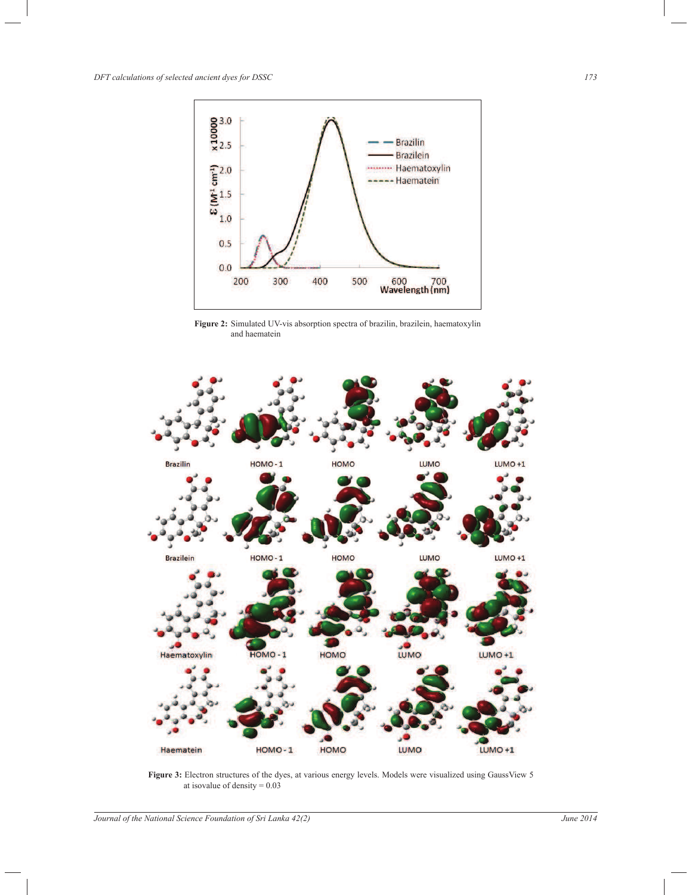

**Figure 2:** Simulated UV-vis absorption spectra of brazilin, brazilein, haematoxylin and haematein



Figure 3: Electron structures of the dyes, at various energy levels. Models were visualized using GaussView 5 at isovalue of density  $= 0.03$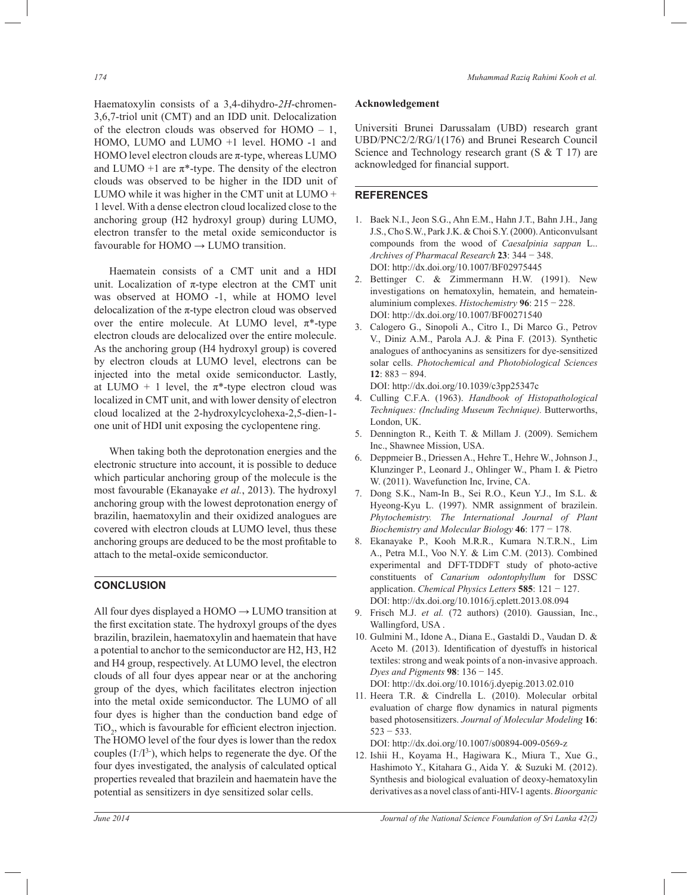Haematoxylin consists of a 3,4-dihydro-*2H*-chromen-3,6,7-triol unit (CMT) and an IDD unit. Delocalization of the electron clouds was observed for HOMO – 1, HOMO, LUMO and LUMO +1 level. HOMO -1 and HOMO level electron clouds are  $\pi$ -type, whereas LUMO and LUMO +1 are  $\pi^*$ -type. The density of the electron clouds was observed to be higher in the IDD unit of LUMO while it was higher in the CMT unit at LUMO + 1 level. With a dense electron cloud localized close to the anchoring group (H2 hydroxyl group) during LUMO, electron transfer to the metal oxide semiconductor is favourable for  $HOMO \rightarrow LUMO$  transition.

 Haematein consists of a CMT unit and a HDI unit. Localization of  $\pi$ -type electron at the CMT unit was observed at HOMO -1, while at HOMO level delocalization of the  $\pi$ -type electron cloud was observed over the entire molecule. At LUMO level,  $\pi^*$ -type electron clouds are delocalized over the entire molecule. As the anchoring group (H4 hydroxyl group) is covered by electron clouds at LUMO level, electrons can be injected into the metal oxide semiconductor. Lastly, at LUMO + 1 level, the  $\pi^*$ -type electron cloud was localized in CMT unit, and with lower density of electron cloud localized at the 2-hydroxylcyclohexa-2,5-dien-1 one unit of HDI unit exposing the cyclopentene ring.

 When taking both the deprotonation energies and the electronic structure into account, it is possible to deduce which particular anchoring group of the molecule is the most favourable (Ekanayake *et al.*, 2013). The hydroxyl anchoring group with the lowest deprotonation energy of brazilin, haematoxylin and their oxidized analogues are covered with electron clouds at LUMO level, thus these anchoring groups are deduced to be the most profitable to attach to the metal-oxide semiconductor.

# **CONCLUSION**

All four dyes displayed a  $HOMO \rightarrow LUMO$  transition at the first excitation state. The hydroxyl groups of the dyes brazilin, brazilein, haematoxylin and haematein that have a potential to anchor to the semiconductor are H2, H3, H2 and H4 group, respectively. At LUMO level, the electron clouds of all four dyes appear near or at the anchoring group of the dyes, which facilitates electron injection into the metal oxide semiconductor. The LUMO of all four dyes is higher than the conduction band edge of  $TiO<sub>2</sub>$ , which is favourable for efficient electron injection. The HOMO level of the four dyes is lower than the redox couples  $(I<sup>13</sup>)$ , which helps to regenerate the dye. Of the four dyes investigated, the analysis of calculated optical properties revealed that brazilein and haematein have the potential as sensitizers in dye sensitized solar cells.

# **Acknowledgement**

Universiti Brunei Darussalam (UBD) research grant UBD/PNC2/2/RG/1(176) and Brunei Research Council Science and Technology research grant (S & T 17) are acknowledged for financial support.

#### **REFERENCES**

- 1. Baek N.I., Jeon S.G., Ahn E.M., Hahn J.T., Bahn J.H., Jang J.S., Cho S.W., Park J.K. & Choi S.Y. (2000). Anticonvulsant compounds from the wood of *Caesalpinia sappan* L.. *Archives of Pharmacal Research* **23**: 344 − 348. DOI: http://dx.doi.org/10.1007/BF02975445
- 2. Bettinger C. & Zimmermann H.W. (1991). New investigations on hematoxylin, hematein, and hemateinaluminium complexes. *Histochemistry* **96**: 215 − 228. DOI: http://dx.doi.org/10.1007/BF00271540<br>3. Calogero G., Sinopoli A., Citro I., Di Mar
- 3. Calogero G., Sinopoli A., Citro I., Di Marco G., Petrov V., Diniz A.M., Parola A.J. & Pina F. (2013). Synthetic analogues of anthocyanins as sensitizers for dye-sensitized solar cells. *Photochemical and Photobiological Sciences*  **12**: 883 − 894.

DOI: http://dx.doi.org/10.1039/c3pp25347c

- 4. Culling C.F.A. (1963). *Handbook of Histopathological Techniques: (Including Museum Technique).* Butterworths, London, UK.
- 5. Dennington R., Keith T. & Millam J. (2009). Semichem Inc., Shawnee Mission, USA.
- 6. Deppmeier B., Driessen A., Hehre T., Hehre W., Johnson J., Klunzinger P., Leonard J., Ohlinger W., Pham I. & Pietro W. (2011). Wavefunction Inc, Irvine, CA.
- 7. Dong S.K., Nam-In B., Sei R.O., Keun Y.J., Im S.L. & Hyeong-Kyu L. (1997). NMR assignment of brazilein. *Phytochemistry. The International Journal of Plant Biochemistry and Molecular Biology* **46**: 177 − 178.
- 8. Ekanayake P., Kooh M.R.R., Kumara N.T.R.N., Lim A., Petra M.I., Voo N.Y. & Lim C.M. (2013). Combined experimental and DFT-TDDFT study of photo-active constituents of *Canarium odontophyllum* for DSSC application. *Chemical Physics Letters* **585**: 121 − 127. DOI: http://dx.doi.org/10.1016/j.cplett.2013.08.094
- 9. Frisch M.J. *et al.* (72 authors) (2010). Gaussian, Inc., Wallingford, USA .
- 10. Gulmini M., Idone A., Diana E., Gastaldi D., Vaudan D. & Aceto M. (2013). Identification of dyestuffs in historical textiles: strong and weak points of a non-invasive approach. *Dyes and Pigments* **98**: 136 − 145.

DOI: http://dx.doi.org/10.1016/j.dyepig.2013.02.010

11. Heera T.R. & Cindrella L. (2010). Molecular orbital evaluation of charge flow dynamics in natural pigments based photosensitizers. *Journal of Molecular Modeling* **16**:  $523 - 533$ .

DOI: http://dx.doi.org/10.1007/s00894-009-0569-z

12. Ishii H., Koyama H., Hagiwara K., Miura T., Xue G., Hashimoto Y., Kitahara G., Aida Y. & Suzuki M. (2012). Synthesis and biological evaluation of deoxy-hematoxylin derivatives as a novel class of anti-HIV-1 agents. *Bioorganic*